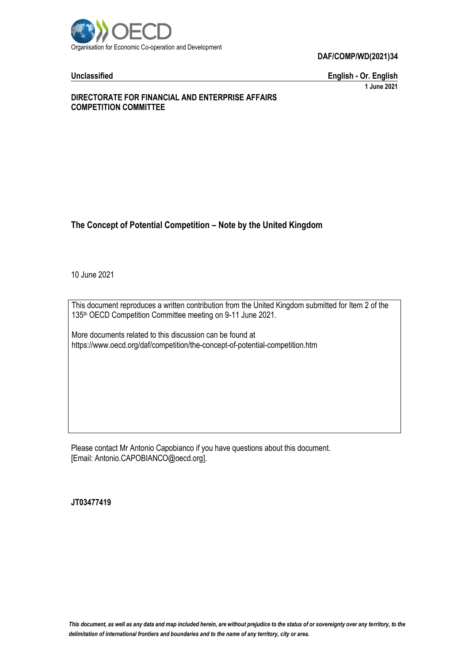

**Unclassified English - Or. English 1 June 2021**

### **DIRECTORATE FOR FINANCIAL AND ENTERPRISE AFFAIRS COMPETITION COMMITTEE**

# **The Concept of Potential Competition – Note by the United Kingdom**

10 June 2021

This document reproduces a written contribution from the United Kingdom submitted for Item 2 of the 135th OECD Competition Committee meeting on 9-11 June 2021.

More documents related to this discussion can be found at https://www.oecd.org/daf/competition/the-concept-of-potential-competition.htm

Please contact Mr Antonio Capobianco if you have questions about this document. [Email: Antonio.CAPOBIANCO@oecd.org].

**JT03477419**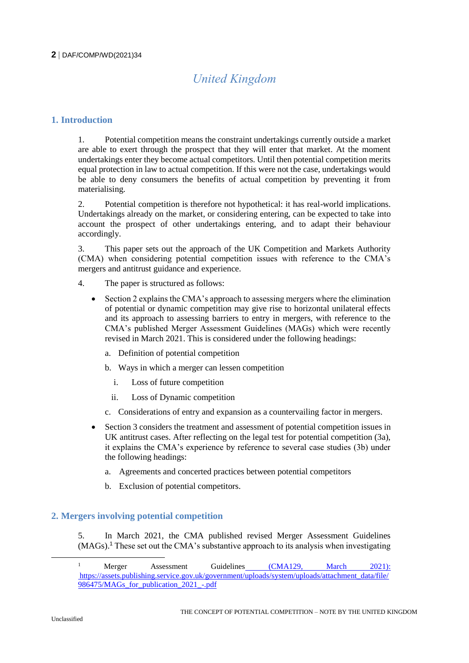# *United Kingdom*

# **1. Introduction**

1. Potential competition means the constraint undertakings currently outside a market are able to exert through the prospect that they will enter that market. At the moment undertakings enter they become actual competitors. Until then potential competition merits equal protection in law to actual competition. If this were not the case, undertakings would be able to deny consumers the benefits of actual competition by preventing it from materialising.

2. Potential competition is therefore not hypothetical: it has real-world implications. Undertakings already on the market, or considering entering, can be expected to take into account the prospect of other undertakings entering, and to adapt their behaviour accordingly.

3. This paper sets out the approach of the UK Competition and Markets Authority (CMA) when considering potential competition issues with reference to the CMA's mergers and antitrust guidance and experience.

- 4. The paper is structured as follows:
	- Section 2 explains the CMA's approach to assessing mergers where the elimination of potential or dynamic competition may give rise to horizontal unilateral effects and its approach to assessing barriers to entry in mergers, with reference to the CMA's published Merger Assessment Guidelines (MAGs) which were recently revised in March 2021. This is considered under the following headings:
		- a. Definition of potential competition
		- b. Ways in which a merger can lessen competition
			- i. Loss of future competition
			- ii. Loss of Dynamic competition
		- c. Considerations of entry and expansion as a countervailing factor in mergers.
	- Section 3 considers the treatment and assessment of potential competition issues in UK antitrust cases. After reflecting on the legal test for potential competition (3a), it explains the CMA's experience by reference to several case studies (3b) under the following headings:
		- a. Agreements and concerted practices between potential competitors
		- b. Exclusion of potential competitors.

# **2. Mergers involving potential competition**

5. In March 2021, the CMA published revised Merger Assessment Guidelines (MAGs).<sup>1</sup> These set out the CMA's substantive approach to its analysis when investigating

<sup>&</sup>lt;sup>1</sup> Merger Assessment Guidelines [\(CMA129, March 2021\):](https://assets.publishing.service.gov.uk/government/uploads/system/uploads/attachment_data/file/970322/MAGs_for_publication_2021_.pdf) [https://assets.publishing.service.gov.uk/government/uploads/system/uploads/attachment\\_data/file/](https://assets.publishing.service.gov.uk/government/uploads/system/uploads/attachment_data/file/986475/MAGs_for_publication_2021_-.pdf) 986475/MAGs for publication 2021 -.pdf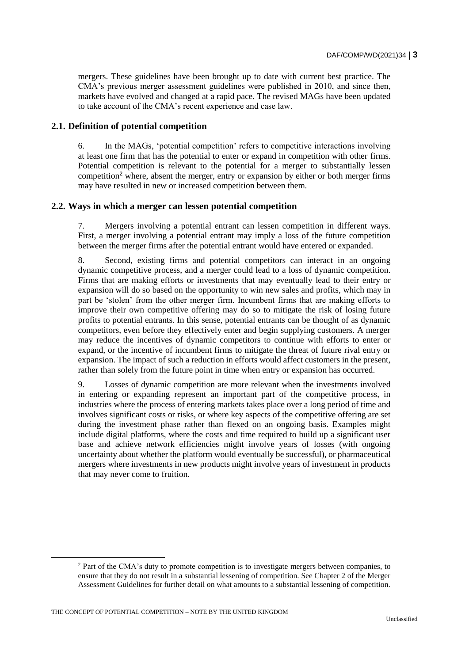mergers. These guidelines have been brought up to date with current best practice. The CMA's previous merger assessment guidelines were published in 2010, and since then, markets have evolved and changed at a rapid pace. The revised MAGs have been updated to take account of the CMA's recent experience and case law.

# **2.1. Definition of potential competition**

6. In the MAGs, 'potential competition' refers to competitive interactions involving at least one firm that has the potential to enter or expand in competition with other firms. Potential competition is relevant to the potential for a merger to substantially lessen competition<sup>2</sup> where, absent the merger, entry or expansion by either or both merger firms may have resulted in new or increased competition between them.

#### **2.2. Ways in which a merger can lessen potential competition**

7. Mergers involving a potential entrant can lessen competition in different ways. First, a merger involving a potential entrant may imply a loss of the future competition between the merger firms after the potential entrant would have entered or expanded.

8. Second, existing firms and potential competitors can interact in an ongoing dynamic competitive process, and a merger could lead to a loss of dynamic competition. Firms that are making efforts or investments that may eventually lead to their entry or expansion will do so based on the opportunity to win new sales and profits, which may in part be 'stolen' from the other merger firm. Incumbent firms that are making efforts to improve their own competitive offering may do so to mitigate the risk of losing future profits to potential entrants. In this sense, potential entrants can be thought of as dynamic competitors, even before they effectively enter and begin supplying customers. A merger may reduce the incentives of dynamic competitors to continue with efforts to enter or expand, or the incentive of incumbent firms to mitigate the threat of future rival entry or expansion. The impact of such a reduction in efforts would affect customers in the present, rather than solely from the future point in time when entry or expansion has occurred.

9. Losses of dynamic competition are more relevant when the investments involved in entering or expanding represent an important part of the competitive process, in industries where the process of entering markets takes place over a long period of time and involves significant costs or risks, or where key aspects of the competitive offering are set during the investment phase rather than flexed on an ongoing basis. Examples might include digital platforms, where the costs and time required to build up a significant user base and achieve network efficiencies might involve years of losses (with ongoing uncertainty about whether the platform would eventually be successful), or pharmaceutical mergers where investments in new products might involve years of investment in products that may never come to fruition.

<sup>&</sup>lt;sup>2</sup> Part of the CMA's duty to promote competition is to investigate mergers between companies, to ensure that they do not result in a substantial lessening of competition. See Chapter 2 of the Merger Assessment Guidelines for further detail on what amounts to a substantial lessening of competition.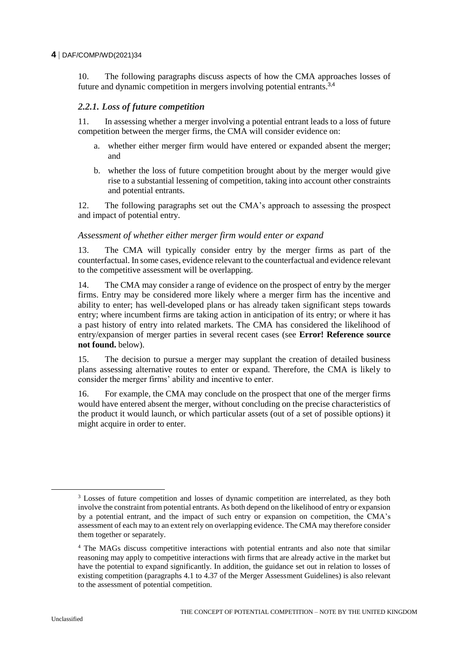10. The following paragraphs discuss aspects of how the CMA approaches losses of future and dynamic competition in mergers involving potential entrants.<sup>3,4</sup>

#### *2.2.1. Loss of future competition*

11. In assessing whether a merger involving a potential entrant leads to a loss of future competition between the merger firms, the CMA will consider evidence on:

- a. whether either merger firm would have entered or expanded absent the merger; and
- b. whether the loss of future competition brought about by the merger would give rise to a substantial lessening of competition, taking into account other constraints and potential entrants.

12. The following paragraphs set out the CMA's approach to assessing the prospect and impact of potential entry.

#### *Assessment of whether either merger firm would enter or expand*

13. The CMA will typically consider entry by the merger firms as part of the counterfactual. In some cases, evidence relevant to the counterfactual and evidence relevant to the competitive assessment will be overlapping.

14. The CMA may consider a range of evidence on the prospect of entry by the merger firms. Entry may be considered more likely where a merger firm has the incentive and ability to enter; has well-developed plans or has already taken significant steps towards entry; where incumbent firms are taking action in anticipation of its entry; or where it has a past history of entry into related markets. The CMA has considered the likelihood of entry/expansion of merger parties in several recent cases (see **Error! Reference source not found.** below).

15. The decision to pursue a merger may supplant the creation of detailed business plans assessing alternative routes to enter or expand. Therefore, the CMA is likely to consider the merger firms' ability and incentive to enter.

16. For example, the CMA may conclude on the prospect that one of the merger firms would have entered absent the merger, without concluding on the precise characteristics of the product it would launch, or which particular assets (out of a set of possible options) it might acquire in order to enter.

<sup>&</sup>lt;sup>3</sup> Losses of future competition and losses of dynamic competition are interrelated, as they both involve the constraint from potential entrants. As both depend on the likelihood of entry or expansion by a potential entrant, and the impact of such entry or expansion on competition, the CMA's assessment of each may to an extent rely on overlapping evidence. The CMA may therefore consider them together or separately.

<sup>4</sup> The MAGs discuss competitive interactions with potential entrants and also note that similar reasoning may apply to competitive interactions with firms that are already active in the market but have the potential to expand significantly. In addition, the guidance set out in relation to losses of existing competition (paragraphs 4.1 to 4.37 of the Merger Assessment Guidelines) is also relevant to the assessment of potential competition.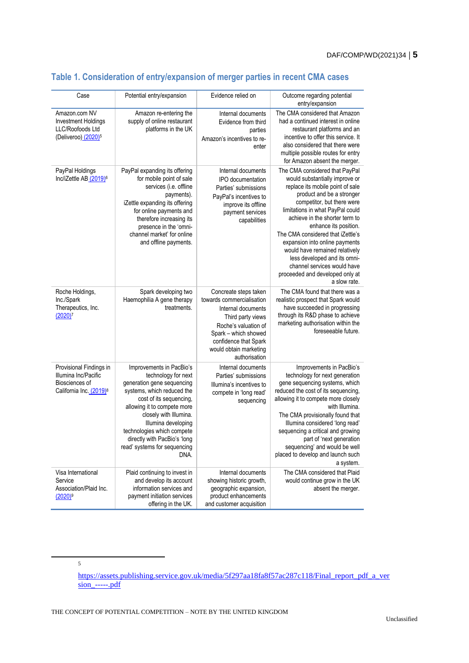| Case                                                                                                     | Potential entry/expansion                                                                                                                                                                                                                                                                                                    | Evidence relied on                                                                                                                                                                                                | Outcome regarding potential<br>entry/expansion                                                                                                                                                                                                                                                                                                                                                                                                                                            |
|----------------------------------------------------------------------------------------------------------|------------------------------------------------------------------------------------------------------------------------------------------------------------------------------------------------------------------------------------------------------------------------------------------------------------------------------|-------------------------------------------------------------------------------------------------------------------------------------------------------------------------------------------------------------------|-------------------------------------------------------------------------------------------------------------------------------------------------------------------------------------------------------------------------------------------------------------------------------------------------------------------------------------------------------------------------------------------------------------------------------------------------------------------------------------------|
| Amazon.com NV<br><b>Investment Holdings</b><br>LLC/Roofoods Ltd<br>(Deliveroo) (2020) <sup>5</sup>       | Amazon re-entering the<br>supply of online restaurant<br>platforms in the UK                                                                                                                                                                                                                                                 | Internal documents<br>Evidence from third<br>parties<br>Amazon's incentives to re-<br>enter                                                                                                                       | The CMA considered that Amazon<br>had a continued interest in online<br>restaurant platforms and an<br>incentive to offer this service. It<br>also considered that there were<br>multiple possible routes for entry<br>for Amazon absent the merger.                                                                                                                                                                                                                                      |
| PayPal Holdings<br>Inc/iZettle AB (2019) <sup>6</sup>                                                    | PayPal expanding its offering<br>for mobile point of sale<br>services (i.e. offline<br>payments).<br>iZettle expanding its offering<br>for online payments and<br>therefore increasing its<br>presence in the 'omni-<br>channel market' for online<br>and offline payments.                                                  | Internal documents<br>IPO documentation<br>Parties' submissions<br>PayPal's incentives to<br>improve its offline<br>payment services<br>capabilities                                                              | The CMA considered that PayPal<br>would substantially improve or<br>replace its mobile point of sale<br>product and be a stronger<br>competitor, but there were<br>limitations in what PayPal could<br>achieve in the shorter term to<br>enhance its position.<br>The CMA considered that iZettle's<br>expansion into online payments<br>would have remained relatively<br>less developed and its omni-<br>channel services would have<br>proceeded and developed only at<br>a slow rate. |
| Roche Holdings,<br>Inc./Spark<br>Therapeutics, Inc.<br>$(2020)^7$                                        | Spark developing two<br>Haemophilia A gene therapy<br>treatments.                                                                                                                                                                                                                                                            | Concreate steps taken<br>towards commercialisation<br>Internal documents<br>Third party views<br>Roche's valuation of<br>Spark - which showed<br>confidence that Spark<br>would obtain marketing<br>authorisation | The CMA found that there was a<br>realistic prospect that Spark would<br>have succeeded in progressing<br>through its R&D phase to achieve<br>marketing authorisation within the<br>foreseeable future.                                                                                                                                                                                                                                                                                   |
| Provisional Findings in<br>Illumina Inc/Pacific<br>Biosciences of<br>California Inc. (2019) <sup>8</sup> | Improvements in PacBio's<br>technology for next<br>generation gene sequencing<br>systems, which reduced the<br>cost of its sequencing,<br>allowing it to compete more<br>closely with Illumina.<br>Illumina developing<br>technologies which compete<br>directly with PacBio's 'long<br>read' systems for sequencing<br>DNA. | Internal documents<br>Parties' submissions<br>Illumina's incentives to<br>compete in 'long read'<br>sequencing                                                                                                    | Improvements in PacBio's<br>technology for next generation<br>gene sequencing systems, which<br>reduced the cost of its sequencing,<br>allowing it to compete more closely<br>with Illumina.<br>The CMA provisionally found that<br>Illumina considered 'long read'<br>sequencing a critical and growing<br>part of 'next generation<br>sequencing' and would be well<br>placed to develop and launch such<br>a system.                                                                   |
| Visa International<br>Service<br>Association/Plaid Inc.<br>$(2020)^9$                                    | Plaid continuing to invest in<br>and develop its account<br>information services and<br>payment initiation services<br>offering in the UK.                                                                                                                                                                                   | Internal documents<br>showing historic growth,<br>geographic expansion,<br>product enhancements<br>and customer acquisition                                                                                       | The CMA considered that Plaid<br>would continue grow in the UK<br>absent the merger.                                                                                                                                                                                                                                                                                                                                                                                                      |

# **Table 1. Consideration of entry/expansion of merger parties in recent CMA cases**

5

[https://assets.publishing.service.gov.uk/media/5f297aa18fa8f57ac287c118/Final\\_report\\_pdf\\_a\\_ver](https://assets.publishing.service.gov.uk/media/5f297aa18fa8f57ac287c118/Final_report_pdf_a_version_-----.pdf)  $sion$  -----.pdf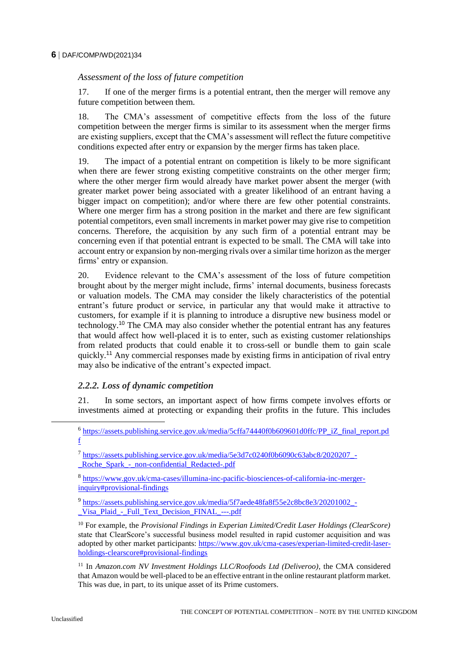# *Assessment of the loss of future competition*

17. If one of the merger firms is a potential entrant, then the merger will remove any future competition between them.

18. The CMA's assessment of competitive effects from the loss of the future competition between the merger firms is similar to its assessment when the merger firms are existing suppliers, except that the CMA's assessment will reflect the future competitive conditions expected after entry or expansion by the merger firms has taken place.

19. The impact of a potential entrant on competition is likely to be more significant when there are fewer strong existing competitive constraints on the other merger firm; where the other merger firm would already have market power absent the merger (with greater market power being associated with a greater likelihood of an entrant having a bigger impact on competition); and/or where there are few other potential constraints. Where one merger firm has a strong position in the market and there are few significant potential competitors, even small increments in market power may give rise to competition concerns. Therefore, the acquisition by any such firm of a potential entrant may be concerning even if that potential entrant is expected to be small. The CMA will take into account entry or expansion by non-merging rivals over a similar time horizon as the merger firms' entry or expansion.

20. Evidence relevant to the CMA's assessment of the loss of future competition brought about by the merger might include, firms' internal documents, business forecasts or valuation models. The CMA may consider the likely characteristics of the potential entrant's future product or service, in particular any that would make it attractive to customers, for example if it is planning to introduce a disruptive new business model or technology.<sup>10</sup> The CMA may also consider whether the potential entrant has any features that would affect how well-placed it is to enter, such as existing customer relationships from related products that could enable it to cross-sell or bundle them to gain scale quickly.<sup>11</sup> Any commercial responses made by existing firms in anticipation of rival entry may also be indicative of the entrant's expected impact.

# *2.2.2. Loss of dynamic competition*

21. In some sectors, an important aspect of how firms compete involves efforts or investments aimed at protecting or expanding their profits in the future. This includes

<sup>9</sup> https://assets.publishing.service.gov.uk/media/5f7aede48fa8f55e2c8bc8e3/20201002 -Visa Plaid - Full Text Decision FINAL ---.pdf

<sup>11</sup> In *Amazon.com NV Investment Holdings LLC/Roofoods Ltd (Deliveroo)*, the CMA considered that Amazon would be well-placed to be an effective entrant in the online restaurant platform market. This was due, in part, to its unique asset of its Prime customers.

<sup>&</sup>lt;sup>6</sup> [https://assets.publishing.service.gov.uk/media/5cffa74440f0b609601d0ffc/PP\\_iZ\\_final\\_report.pd](https://assets.publishing.service.gov.uk/media/5cffa74440f0b609601d0ffc/PP_iZ_final_report.pdf) [f](https://assets.publishing.service.gov.uk/media/5cffa74440f0b609601d0ffc/PP_iZ_final_report.pdf)

<sup>&</sup>lt;sup>7</sup> [https://assets.publishing.service.gov.uk/media/5e3d7c0240f0b6090c63abc8/2020207\\_-](https://assets.publishing.service.gov.uk/media/5e3d7c0240f0b6090c63abc8/2020207_-_Roche_Spark_-_non-confidential_Redacted-.pdf) [\\_Roche\\_Spark\\_-\\_non-confidential\\_Redacted-.pdf](https://assets.publishing.service.gov.uk/media/5e3d7c0240f0b6090c63abc8/2020207_-_Roche_Spark_-_non-confidential_Redacted-.pdf)

<sup>&</sup>lt;sup>8</sup> [https://www.gov.uk/cma-cases/illumina-inc-pacific-biosciences-of-california-inc-merger](https://www.gov.uk/cma-cases/illumina-inc-pacific-biosciences-of-california-inc-merger-inquiry#provisional-findings)[inquiry#provisional-findings](https://www.gov.uk/cma-cases/illumina-inc-pacific-biosciences-of-california-inc-merger-inquiry#provisional-findings)

<sup>10</sup> For example, the *Provisional Findings in Experian Limited/Credit Laser Holdings (ClearScore)* state that ClearScore's successful business model resulted in rapid customer acquisition and was adopted by other market participants: [https://www.gov.uk/cma-cases/experian-limited-credit-laser](https://www.gov.uk/cma-cases/experian-limited-credit-laser-holdings-clearscore#provisional-findings)[holdings-clearscore#provisional-findings](https://www.gov.uk/cma-cases/experian-limited-credit-laser-holdings-clearscore#provisional-findings)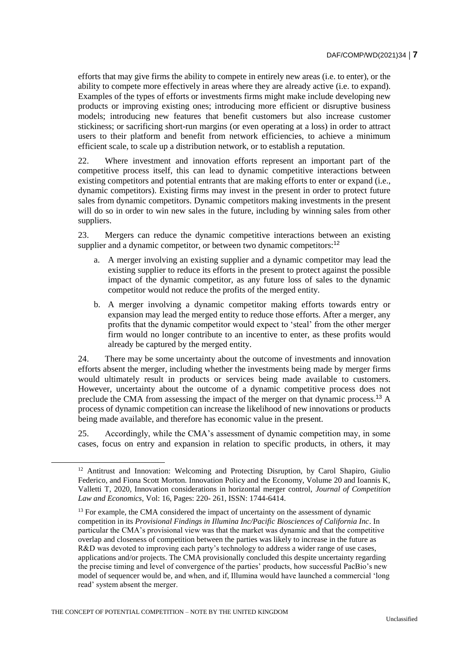efforts that may give firms the ability to compete in entirely new areas (i.e. to enter), or the ability to compete more effectively in areas where they are already active (i.e. to expand). Examples of the types of efforts or investments firms might make include developing new products or improving existing ones; introducing more efficient or disruptive business models; introducing new features that benefit customers but also increase customer stickiness; or sacrificing short-run margins (or even operating at a loss) in order to attract users to their platform and benefit from network efficiencies, to achieve a minimum efficient scale, to scale up a distribution network, or to establish a reputation.

22. Where investment and innovation efforts represent an important part of the competitive process itself, this can lead to dynamic competitive interactions between existing competitors and potential entrants that are making efforts to enter or expand (i.e., dynamic competitors). Existing firms may invest in the present in order to protect future sales from dynamic competitors. Dynamic competitors making investments in the present will do so in order to win new sales in the future, including by winning sales from other suppliers.

23. Mergers can reduce the dynamic competitive interactions between an existing supplier and a dynamic competitor, or between two dynamic competitors:<sup>12</sup>

- a. A merger involving an existing supplier and a dynamic competitor may lead the existing supplier to reduce its efforts in the present to protect against the possible impact of the dynamic competitor, as any future loss of sales to the dynamic competitor would not reduce the profits of the merged entity.
- b. A merger involving a dynamic competitor making efforts towards entry or expansion may lead the merged entity to reduce those efforts. After a merger, any profits that the dynamic competitor would expect to 'steal' from the other merger firm would no longer contribute to an incentive to enter, as these profits would already be captured by the merged entity.

24. There may be some uncertainty about the outcome of investments and innovation efforts absent the merger, including whether the investments being made by merger firms would ultimately result in products or services being made available to customers. However, uncertainty about the outcome of a dynamic competitive process does not preclude the CMA from assessing the impact of the merger on that dynamic process.<sup>13</sup> A process of dynamic competition can increase the likelihood of new innovations or products being made available, and therefore has economic value in the present.

25. Accordingly, while the CMA's assessment of dynamic competition may, in some cases, focus on entry and expansion in relation to specific products, in others, it may

<sup>&</sup>lt;sup>12</sup> Antitrust and Innovation: Welcoming and Protecting Disruption, by Carol Shapiro, Giulio Federico, and Fiona Scott Morton. Innovation Policy and the Economy, Volume 20 and Ioannis K, Valletti T, 2020, Innovation considerations in horizontal merger control, *Journal of Competition Law and Economics,* Vol: 16, Pages: 220- 261, ISSN: 1744-6414.

<sup>&</sup>lt;sup>13</sup> For example, the CMA considered the impact of uncertainty on the assessment of dynamic competition in its *Provisional Findings in Illumina Inc/Pacific Biosciences of California Inc*. In particular the CMA's provisional view was that the market was dynamic and that the competitive overlap and closeness of competition between the parties was likely to increase in the future as R&D was devoted to improving each party's technology to address a wider range of use cases, applications and/or projects. The CMA provisionally concluded this despite uncertainty regarding the precise timing and level of convergence of the parties' products, how successful PacBio's new model of sequencer would be, and when, and if, Illumina would have launched a commercial 'long read' system absent the merger.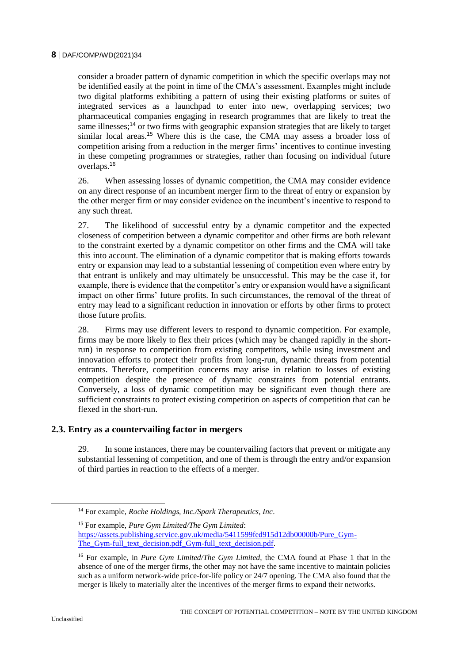consider a broader pattern of dynamic competition in which the specific overlaps may not be identified easily at the point in time of the CMA's assessment. Examples might include two digital platforms exhibiting a pattern of using their existing platforms or suites of integrated services as a launchpad to enter into new, overlapping services; two pharmaceutical companies engaging in research programmes that are likely to treat the same illnesses;<sup>14</sup> or two firms with geographic expansion strategies that are likely to target similar local areas.<sup>15</sup> Where this is the case, the CMA may assess a broader loss of competition arising from a reduction in the merger firms' incentives to continue investing in these competing programmes or strategies, rather than focusing on individual future overlaps.<sup>16</sup>

26. When assessing losses of dynamic competition, the CMA may consider evidence on any direct response of an incumbent merger firm to the threat of entry or expansion by the other merger firm or may consider evidence on the incumbent's incentive to respond to any such threat.

27. The likelihood of successful entry by a dynamic competitor and the expected closeness of competition between a dynamic competitor and other firms are both relevant to the constraint exerted by a dynamic competitor on other firms and the CMA will take this into account. The elimination of a dynamic competitor that is making efforts towards entry or expansion may lead to a substantial lessening of competition even where entry by that entrant is unlikely and may ultimately be unsuccessful. This may be the case if, for example, there is evidence that the competitor's entry or expansion would have a significant impact on other firms' future profits. In such circumstances, the removal of the threat of entry may lead to a significant reduction in innovation or efforts by other firms to protect those future profits.

28. Firms may use different levers to respond to dynamic competition. For example, firms may be more likely to flex their prices (which may be changed rapidly in the shortrun) in response to competition from existing competitors, while using investment and innovation efforts to protect their profits from long-run, dynamic threats from potential entrants. Therefore, competition concerns may arise in relation to losses of existing competition despite the presence of dynamic constraints from potential entrants. Conversely, a loss of dynamic competition may be significant even though there are sufficient constraints to protect existing competition on aspects of competition that can be flexed in the short-run.

# **2.3. Entry as a countervailing factor in mergers**

29. In some instances, there may be countervailing factors that prevent or mitigate any substantial lessening of competition, and one of them is through the entry and/or expansion of third parties in reaction to the effects of a merger.

<sup>14</sup> For example, *Roche Holdings, Inc./Spark Therapeutics, Inc*.

<sup>15</sup> For example, *Pure Gym Limited/The Gym Limited*: [https://assets.publishing.service.gov.uk/media/5411599fed915d12db00000b/Pure\\_Gym-](https://assets.publishing.service.gov.uk/media/5411599fed915d12db00000b/Pure_Gym-The_Gym-full_text_decision.pdf_Gym-full_text_decision.pdf)The Gym-full text decision.pdf Gym-full text decision.pdf.

<sup>16</sup> For example, in *Pure Gym Limited/The Gym Limited*, the CMA found at Phase 1 that in the absence of one of the merger firms, the other may not have the same incentive to maintain policies such as a uniform network-wide price-for-life policy or 24/7 opening. The CMA also found that the merger is likely to materially alter the incentives of the merger firms to expand their networks.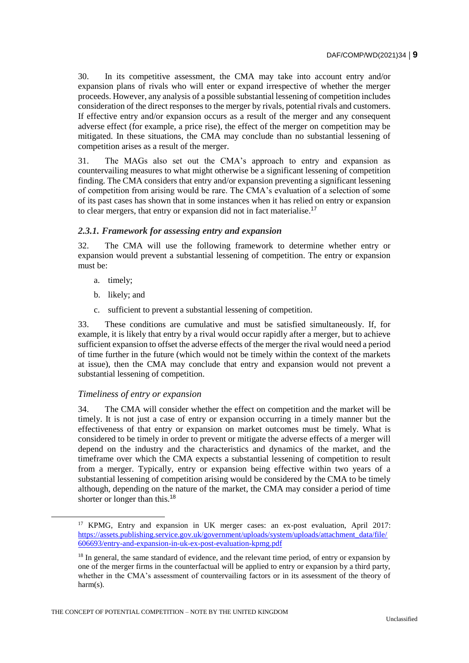30. In its competitive assessment, the CMA may take into account entry and/or expansion plans of rivals who will enter or expand irrespective of whether the merger proceeds. However, any analysis of a possible substantial lessening of competition includes consideration of the direct responses to the merger by rivals, potential rivals and customers. If effective entry and/or expansion occurs as a result of the merger and any consequent adverse effect (for example, a price rise), the effect of the merger on competition may be mitigated. In these situations, the CMA may conclude than no substantial lessening of competition arises as a result of the merger.

31. The MAGs also set out the CMA's approach to entry and expansion as countervailing measures to what might otherwise be a significant lessening of competition finding. The CMA considers that entry and/or expansion preventing a significant lessening of competition from arising would be rare. The CMA's evaluation of a selection of some of its past cases has shown that in some instances when it has relied on entry or expansion to clear mergers, that entry or expansion did not in fact materialise.<sup>17</sup>

# *2.3.1. Framework for assessing entry and expansion*

32. The CMA will use the following framework to determine whether entry or expansion would prevent a substantial lessening of competition. The entry or expansion must be:

a. timely;

- b. likely; and
- c. sufficient to prevent a substantial lessening of competition.

33. These conditions are cumulative and must be satisfied simultaneously. If, for example, it is likely that entry by a rival would occur rapidly after a merger, but to achieve sufficient expansion to offset the adverse effects of the merger the rival would need a period of time further in the future (which would not be timely within the context of the markets at issue), then the CMA may conclude that entry and expansion would not prevent a substantial lessening of competition.

# *Timeliness of entry or expansion*

34. The CMA will consider whether the effect on competition and the market will be timely. It is not just a case of entry or expansion occurring in a timely manner but the effectiveness of that entry or expansion on market outcomes must be timely. What is considered to be timely in order to prevent or mitigate the adverse effects of a merger will depend on the industry and the characteristics and dynamics of the market, and the timeframe over which the CMA expects a substantial lessening of competition to result from a merger. Typically, entry or expansion being effective within two years of a substantial lessening of competition arising would be considered by the CMA to be timely although, depending on the nature of the market, the CMA may consider a period of time shorter or longer than this.<sup>18</sup>

<sup>17</sup> KPMG, Entry and expansion in UK merger cases: an ex-post evaluation, April 2017: [https://assets.publishing.service.gov.uk/government/uploads/system/uploads/attachment\\_data/file/](https://assets.publishing.service.gov.uk/government/uploads/system/uploads/attachment_data/file/606693/entry-and-expansion-in-uk-ex-post-evaluation-kpmg.pdf) [606693/entry-and-expansion-in-uk-ex-post-evaluation-kpmg.pdf](https://assets.publishing.service.gov.uk/government/uploads/system/uploads/attachment_data/file/606693/entry-and-expansion-in-uk-ex-post-evaluation-kpmg.pdf)

<sup>&</sup>lt;sup>18</sup> In general, the same standard of evidence, and the relevant time period, of entry or expansion by one of the merger firms in the counterfactual will be applied to entry or expansion by a third party, whether in the CMA's assessment of countervailing factors or in its assessment of the theory of harm(s).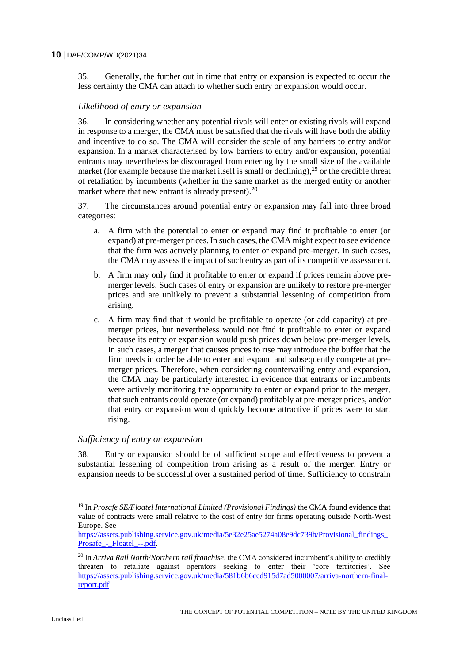35. Generally, the further out in time that entry or expansion is expected to occur the less certainty the CMA can attach to whether such entry or expansion would occur.

# *Likelihood of entry or expansion*

36. In considering whether any potential rivals will enter or existing rivals will expand in response to a merger, the CMA must be satisfied that the rivals will have both the ability and incentive to do so. The CMA will consider the scale of any barriers to entry and/or expansion. In a market characterised by low barriers to entry and/or expansion, potential entrants may nevertheless be discouraged from entering by the small size of the available market (for example because the market itself is small or declining),  $19$  or the credible threat of retaliation by incumbents (whether in the same market as the merged entity or another market where that new entrant is already present).<sup>20</sup>

37. The circumstances around potential entry or expansion may fall into three broad categories:

- a. A firm with the potential to enter or expand may find it profitable to enter (or expand) at pre-merger prices. In such cases, the CMA might expect to see evidence that the firm was actively planning to enter or expand pre-merger. In such cases, the CMA may assess the impact of such entry as part of its competitive assessment.
- b. A firm may only find it profitable to enter or expand if prices remain above premerger levels. Such cases of entry or expansion are unlikely to restore pre-merger prices and are unlikely to prevent a substantial lessening of competition from arising.
- c. A firm may find that it would be profitable to operate (or add capacity) at premerger prices, but nevertheless would not find it profitable to enter or expand because its entry or expansion would push prices down below pre-merger levels. In such cases, a merger that causes prices to rise may introduce the buffer that the firm needs in order be able to enter and expand and subsequently compete at premerger prices. Therefore, when considering countervailing entry and expansion, the CMA may be particularly interested in evidence that entrants or incumbents were actively monitoring the opportunity to enter or expand prior to the merger, that such entrants could operate (or expand) profitably at pre-merger prices, and/or that entry or expansion would quickly become attractive if prices were to start rising.

#### *Sufficiency of entry or expansion*

38. Entry or expansion should be of sufficient scope and effectiveness to prevent a substantial lessening of competition from arising as a result of the merger. Entry or expansion needs to be successful over a sustained period of time. Sufficiency to constrain

<sup>19</sup> In *Prosafe SE/Floatel International Limited (Provisional Findings)* the CMA found evidence that value of contracts were small relative to the cost of entry for firms operating outside North-West Europe. See

[https://assets.publishing.service.gov.uk/media/5e32e25ae5274a08e9dc739b/Provisional\\_findings\\_](https://assets.publishing.service.gov.uk/media/5e32e25ae5274a08e9dc739b/Provisional_findings_Prosafe_-_Floatel_--.pdf) Prosafe - Floatel --.pdf.

<sup>20</sup> In *Arriva Rail North/Northern rail franchise*, the CMA considered incumbent's ability to credibly threaten to retaliate against operators seeking to enter their 'core territories'. See [https://assets.publishing.service.gov.uk/media/581b6b6ced915d7ad5000007/arriva-northern-final](https://assets.publishing.service.gov.uk/media/581b6b6ced915d7ad5000007/arriva-northern-final-report.pdf)[report.pdf](https://assets.publishing.service.gov.uk/media/581b6b6ced915d7ad5000007/arriva-northern-final-report.pdf)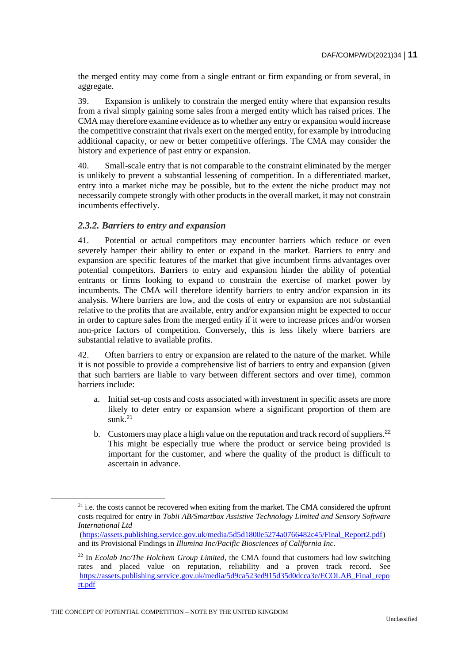the merged entity may come from a single entrant or firm expanding or from several, in aggregate.

39. Expansion is unlikely to constrain the merged entity where that expansion results from a rival simply gaining some sales from a merged entity which has raised prices. The CMA may therefore examine evidence as to whether any entry or expansion would increase the competitive constraint that rivals exert on the merged entity, for example by introducing additional capacity, or new or better competitive offerings. The CMA may consider the history and experience of past entry or expansion.

40. Small-scale entry that is not comparable to the constraint eliminated by the merger is unlikely to prevent a substantial lessening of competition. In a differentiated market, entry into a market niche may be possible, but to the extent the niche product may not necessarily compete strongly with other products in the overall market, it may not constrain incumbents effectively.

#### *2.3.2. Barriers to entry and expansion*

41. Potential or actual competitors may encounter barriers which reduce or even severely hamper their ability to enter or expand in the market. Barriers to entry and expansion are specific features of the market that give incumbent firms advantages over potential competitors. Barriers to entry and expansion hinder the ability of potential entrants or firms looking to expand to constrain the exercise of market power by incumbents. The CMA will therefore identify barriers to entry and/or expansion in its analysis. Where barriers are low, and the costs of entry or expansion are not substantial relative to the profits that are available, entry and/or expansion might be expected to occur in order to capture sales from the merged entity if it were to increase prices and/or worsen non-price factors of competition. Conversely, this is less likely where barriers are substantial relative to available profits.

42. Often barriers to entry or expansion are related to the nature of the market. While it is not possible to provide a comprehensive list of barriers to entry and expansion (given that such barriers are liable to vary between different sectors and over time), common barriers include:

- a. Initial set-up costs and costs associated with investment in specific assets are more likely to deter entry or expansion where a significant proportion of them are sunk $21$
- b. Customers may place a high value on the reputation and track record of suppliers.<sup>22</sup> This might be especially true where the product or service being provided is important for the customer, and where the quality of the product is difficult to ascertain in advance.

 $21$  i.e. the costs cannot be recovered when exiting from the market. The CMA considered the upfront costs required for entry in *Tobii AB/Smartbox Assistive Technology Limited and Sensory Software International Ltd*

[<sup>\(</sup>https://assets.publishing.service.gov.uk/media/5d5d1800e5274a0766482c45/Final\\_Report2.pdf\)](https://assets.publishing.service.gov.uk/media/5d5d1800e5274a0766482c45/Final_Report2.pdf) and its Provisional Findings in *Illumina Inc/Pacific Biosciences of California Inc*.

<sup>22</sup> In *Ecolab Inc/The Holchem Group Limited*, the CMA found that customers had low switching rates and placed value on reputation, reliability and a proven track record. See [https://assets.publishing.service.gov.uk/media/5d9ca523ed915d35d0dcca3e/ECOLAB\\_Final\\_repo](https://assets.publishing.service.gov.uk/media/5d9ca523ed915d35d0dcca3e/ECOLAB_Final_report.pdf) [rt.pdf](https://assets.publishing.service.gov.uk/media/5d9ca523ed915d35d0dcca3e/ECOLAB_Final_report.pdf)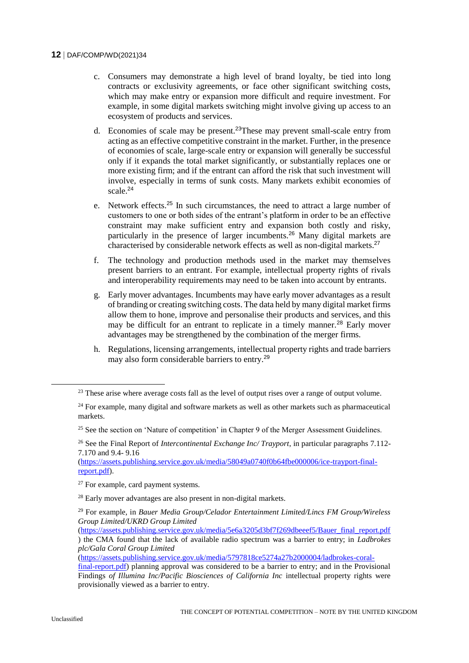- c. Consumers may demonstrate a high level of brand loyalty, be tied into long contracts or exclusivity agreements, or face other significant switching costs, which may make entry or expansion more difficult and require investment. For example, in some digital markets switching might involve giving up access to an ecosystem of products and services.
- d. Economies of scale may be present.<sup>23</sup>These may prevent small-scale entry from acting as an effective competitive constraint in the market. Further, in the presence of economies of scale, large-scale entry or expansion will generally be successful only if it expands the total market significantly, or substantially replaces one or more existing firm; and if the entrant can afford the risk that such investment will involve, especially in terms of sunk costs. Many markets exhibit economies of scale.<sup>24</sup>
- e. Network effects.<sup>25</sup> In such circumstances, the need to attract a large number of customers to one or both sides of the entrant's platform in order to be an effective constraint may make sufficient entry and expansion both costly and risky, particularly in the presence of larger incumbents.<sup>26</sup> Many digital markets are characterised by considerable network effects as well as non-digital markets.<sup>27</sup>
- f. The technology and production methods used in the market may themselves present barriers to an entrant. For example, intellectual property rights of rivals and interoperability requirements may need to be taken into account by entrants.
- g. Early mover advantages. Incumbents may have early mover advantages as a result of branding or creating switching costs. The data held by many digital market firms allow them to hone, improve and personalise their products and services, and this may be difficult for an entrant to replicate in a timely manner.<sup>28</sup> Early mover advantages may be strengthened by the combination of the merger firms.
- h. Regulations, licensing arrangements, intellectual property rights and trade barriers may also form considerable barriers to entry.<sup>29</sup>

[\(https://assets.publishing.service.gov.uk/media/58049a0740f0b64fbe000006/ice-trayport-final](https://assets.publishing.service.gov.uk/media/58049a0740f0b64fbe000006/ice-trayport-final-report.pdf)[report.pdf\)](https://assets.publishing.service.gov.uk/media/58049a0740f0b64fbe000006/ice-trayport-final-report.pdf).

[\(https://assets.publishing.service.gov.uk/media/5e6a3205d3bf7f269dbeeef5/Bauer\\_final\\_report.pdf](https://assets.publishing.service.gov.uk/media/5e6a3205d3bf7f269dbeeef5/Bauer_final_report.pdf) ) the CMA found that the lack of available radio spectrum was a barrier to entry; in *Ladbrokes plc/Gala Coral Group Limited*

[\(https://assets.publishing.service.gov.uk/media/5797818ce5274a27b2000004/ladbrokes-coral-](https://assets.publishing.service.gov.uk/media/5797818ce5274a27b2000004/ladbrokes-coral-final-report.pdf)

<sup>&</sup>lt;sup>23</sup> These arise where average costs fall as the level of output rises over a range of output volume.

 $24$  For example, many digital and software markets as well as other markets such as pharmaceutical markets.

<sup>&</sup>lt;sup>25</sup> See the section on 'Nature of competition' in Chapter 9 of the Merger Assessment Guidelines.

<sup>26</sup> See the Final Report of *Intercontinental Exchange Inc/ Trayport*, in particular paragraphs 7.112- 7.170 and 9.4- 9.16

<sup>&</sup>lt;sup>27</sup> For example, card payment systems.

<sup>28</sup> Early mover advantages are also present in non-digital markets.

<sup>29</sup> For example, in *Bauer Media Group/Celador Entertainment Limited/Lincs FM Group/Wireless Group Limited/UKRD Group Limited*

[final-report.pdf\)](https://assets.publishing.service.gov.uk/media/5797818ce5274a27b2000004/ladbrokes-coral-final-report.pdf) planning approval was considered to be a barrier to entry; and in the Provisional Findings *of Illumina Inc/Pacific Biosciences of California Inc* intellectual property rights were provisionally viewed as a barrier to entry.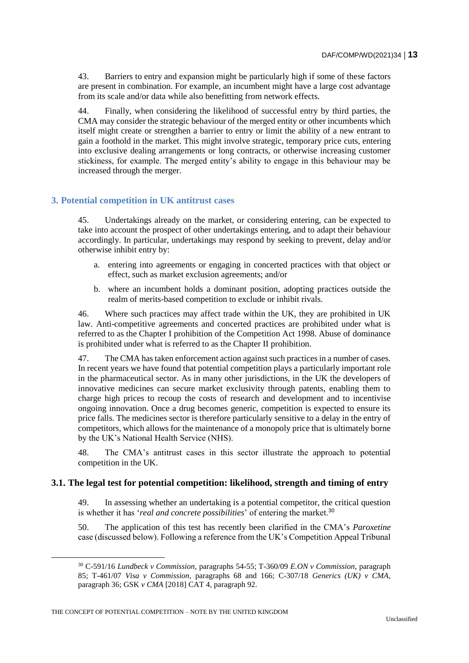43. Barriers to entry and expansion might be particularly high if some of these factors are present in combination. For example, an incumbent might have a large cost advantage from its scale and/or data while also benefitting from network effects.

44. Finally, when considering the likelihood of successful entry by third parties, the CMA may consider the strategic behaviour of the merged entity or other incumbents which itself might create or strengthen a barrier to entry or limit the ability of a new entrant to gain a foothold in the market. This might involve strategic, temporary price cuts, entering into exclusive dealing arrangements or long contracts, or otherwise increasing customer stickiness, for example. The merged entity's ability to engage in this behaviour may be increased through the merger.

# **3. Potential competition in UK antitrust cases**

45. Undertakings already on the market, or considering entering, can be expected to take into account the prospect of other undertakings entering, and to adapt their behaviour accordingly. In particular, undertakings may respond by seeking to prevent, delay and/or otherwise inhibit entry by:

- a. entering into agreements or engaging in concerted practices with that object or effect, such as market exclusion agreements; and/or
- b. where an incumbent holds a dominant position, adopting practices outside the realm of merits-based competition to exclude or inhibit rivals.

46. Where such practices may affect trade within the UK, they are prohibited in UK law. Anti-competitive agreements and concerted practices are prohibited under what is referred to as the Chapter I prohibition of the Competition Act 1998. Abuse of dominance is prohibited under what is referred to as the Chapter II prohibition.

47. The CMA has taken enforcement action against such practices in a number of cases. In recent years we have found that potential competition plays a particularly important role in the pharmaceutical sector. As in many other jurisdictions, in the UK the developers of innovative medicines can secure market exclusivity through patents, enabling them to charge high prices to recoup the costs of research and development and to incentivise ongoing innovation. Once a drug becomes generic, competition is expected to ensure its price falls. The medicines sector is therefore particularly sensitive to a delay in the entry of competitors, which allows for the maintenance of a monopoly price that is ultimately borne by the UK's National Health Service (NHS).

48. The CMA's antitrust cases in this sector illustrate the approach to potential competition in the UK.

#### **3.1. The legal test for potential competition: likelihood, strength and timing of entry**

49. In assessing whether an undertaking is a potential competitor, the critical question is whether it has '*real and concrete possibilities*' of entering the market.<sup>30</sup>

50. The application of this test has recently been clarified in the CMA's *Paroxetine* case (discussed below). Following a reference from the UK's Competition Appeal Tribunal

<sup>30</sup> C-591/16 *Lundbeck v Commission*, paragraphs 54-55; T-360/09 *E.ON v Commission*, paragraph 85; T-461/07 *Visa v Commission*, paragraphs 68 and 166; C-307/18 *Generics (UK) v CMA*, paragraph 36; GSK *v CMA* [2018] CAT 4, paragraph 92.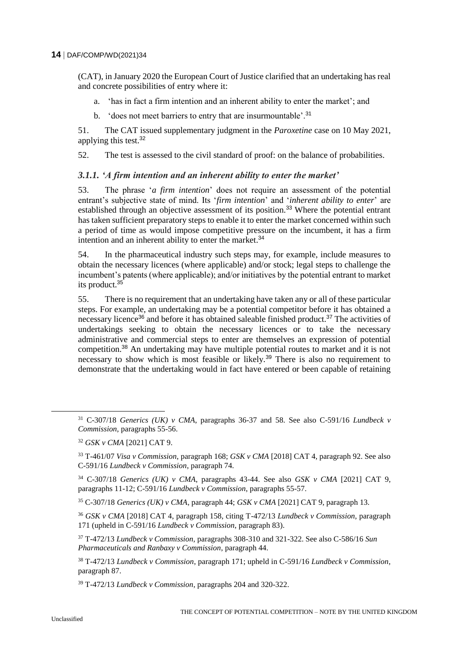(CAT), in January 2020 the European Court of Justice clarified that an undertaking has real and concrete possibilities of entry where it:

- a. 'has in fact a firm intention and an inherent ability to enter the market'; and
- b. 'does not meet barriers to entry that are insurmountable'.<sup>31</sup>

51. The CAT issued supplementary judgment in the *Paroxetine* case on 10 May 2021, applying this test.<sup>32</sup>

52. The test is assessed to the civil standard of proof: on the balance of probabilities.

# *3.1.1. 'A firm intention and an inherent ability to enter the market'*

53. The phrase '*a firm intention*' does not require an assessment of the potential entrant's subjective state of mind. Its '*firm intention*' and '*inherent ability to enter*' are established through an objective assessment of its position.<sup>33</sup> Where the potential entrant has taken sufficient preparatory steps to enable it to enter the market concerned within such a period of time as would impose competitive pressure on the incumbent, it has a firm intention and an inherent ability to enter the market.<sup>34</sup>

54. In the pharmaceutical industry such steps may, for example, include measures to obtain the necessary licences (where applicable) and/or stock; legal steps to challenge the incumbent's patents (where applicable); and/or initiatives by the potential entrant to market its product.<sup>35</sup>

55. There is no requirement that an undertaking have taken any or all of these particular steps. For example, an undertaking may be a potential competitor before it has obtained a necessary licence<sup>36</sup> and before it has obtained saleable finished product.<sup>37</sup> The activities of undertakings seeking to obtain the necessary licences or to take the necessary administrative and commercial steps to enter are themselves an expression of potential competition.<sup>38</sup> An undertaking may have multiple potential routes to market and it is not necessary to show which is most feasible or likely.<sup>39</sup> There is also no requirement to demonstrate that the undertaking would in fact have entered or been capable of retaining

<sup>31</sup> C-307/18 *Generics (UK) v CMA*, paragraphs 36-37 and 58. See also C-591/16 *Lundbeck v Commission*, paragraphs 55-56.

<sup>32</sup> *GSK v CMA* [2021] CAT 9.

<sup>33</sup> T-461/07 *Visa v Commission*, paragraph 168; *GSK v CMA* [2018] CAT 4, paragraph 92. See also C-591/16 *Lundbeck v Commission*, paragraph 74.

<sup>34</sup> C-307/18 *Generics (UK) v CMA*, paragraphs 43-44. See also *GSK v CMA* [2021] CAT 9, paragraphs 11-12; C-591/16 *Lundbeck v Commission*, paragraphs 55-57.

<sup>35</sup> C-307/18 *Generics (UK) v CMA*, paragraph 44; *GSK v CMA* [2021] CAT 9, paragraph 13.

<sup>36</sup> *GSK v CMA* [2018] CAT 4, paragraph 158, citing T-472/13 *Lundbeck v Commission*, paragraph 171 (upheld in C-591/16 *Lundbeck v Commission*, paragraph 83).

<sup>37</sup> T-472/13 *Lundbeck v Commission,* paragraphs 308-310 and 321-322. See also C-586/16 *Sun Pharmaceuticals and Ranbaxy v Commission*, paragraph 44.

<sup>38</sup> T-472/13 *Lundbeck v Commission*, paragraph 171; upheld in C-591/16 *Lundbeck v Commission*, paragraph 87.

<sup>39</sup> T-472/13 *Lundbeck v Commission*, paragraphs 204 and 320-322.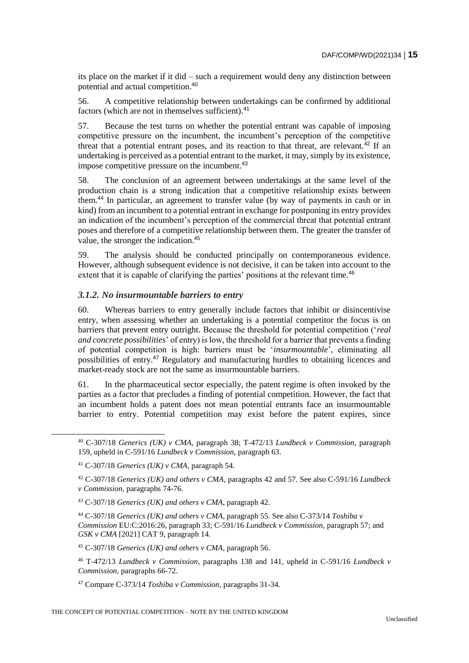its place on the market if it did – such a requirement would deny any distinction between potential and actual competition.<sup>40</sup>

56. A competitive relationship between undertakings can be confirmed by additional factors (which are not in themselves sufficient).<sup>41</sup>

57. Because the test turns on whether the potential entrant was capable of imposing competitive pressure on the incumbent, the incumbent's perception of the competitive threat that a potential entrant poses, and its reaction to that threat, are relevant. $^{42}$  If an undertaking is perceived as a potential entrant to the market, it may, simply by its existence, impose competitive pressure on the incumbent.<sup>43</sup>

58. The conclusion of an agreement between undertakings at the same level of the production chain is a strong indication that a competitive relationship exists between them.<sup>44</sup> In particular, an agreement to transfer value (by way of payments in cash or in kind) from an incumbent to a potential entrant in exchange for postponing its entry provides an indication of the incumbent's perception of the commercial threat that potential entrant poses and therefore of a competitive relationship between them. The greater the transfer of value, the stronger the indication.<sup>45</sup>

59. The analysis should be conducted principally on contemporaneous evidence. However, although subsequent evidence is not decisive, it can be taken into account to the extent that it is capable of clarifying the parties' positions at the relevant time.<sup>46</sup>

# *3.1.2. No insurmountable barriers to entry*

60. Whereas barriers to entry generally include factors that inhibit or disincentivise entry, when assessing whether an undertaking is a potential competitor the focus is on barriers that prevent entry outright. Because the threshold for potential competition ('*real and concrete possibilities*' of entry) is low, the threshold for a barrier that prevents a finding of potential competition is high: barriers must be '*insurmountable*', eliminating all possibilities of entry.<sup>47</sup> Regulatory and manufacturing hurdles to obtaining licences and market-ready stock are not the same as insurmountable barriers.

61. In the pharmaceutical sector especially, the patent regime is often invoked by the parties as a factor that precludes a finding of potential competition. However, the fact that an incumbent holds a patent does not mean potential entrants face an insurmountable barrier to entry. Potential competition may exist before the patent expires, since

<sup>40</sup> C-307/18 *Generics (UK) v CMA*, paragraph 38; T-472/13 *Lundbeck v Commission*, paragraph 159, upheld in C-591/16 *Lundbeck v Commission*, paragraph 63.

<sup>41</sup> C-307/18 *Generics (UK) v CMA*, paragraph 54.

<sup>42</sup> C-307/18 *Generics (UK) and others v CMA*, paragraphs 42 and 57. See also C-591/16 *Lundbeck v Commission*, paragraphs 74-76.

<sup>43</sup> C-307/18 *Generics (UK) and others v CMA*, paragraph 42.

<sup>44</sup> C-307/18 *Generics (UK) and others v CMA*, paragraph 55. See also C-373/14 *Toshiba v Commission* EU:C:2016:26, paragraph 33; C-591/16 *Lundbeck v Commission*, paragraph 57; and *GSK v CMA* [2021] CAT 9, paragraph 14.

<sup>45</sup> C-307/18 *Generics (UK) and others v CMA*, paragraph 56.

<sup>46</sup> T-472/13 *Lundbeck v Commission*, paragraphs 138 and 141, upheld in C-591/16 *Lundbeck v Commission*, paragraphs 66-72.

<sup>47</sup> Compare C-373/14 *Toshiba v Commission*, paragraphs 31-34.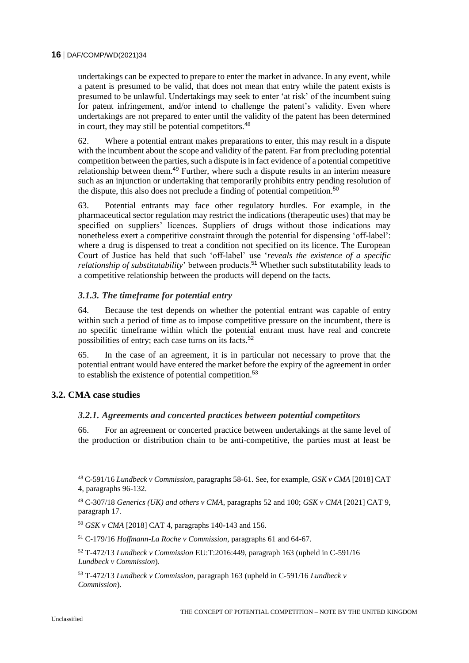undertakings can be expected to prepare to enter the market in advance. In any event, while a patent is presumed to be valid, that does not mean that entry while the patent exists is presumed to be unlawful. Undertakings may seek to enter 'at risk' of the incumbent suing for patent infringement, and/or intend to challenge the patent's validity. Even where undertakings are not prepared to enter until the validity of the patent has been determined in court, they may still be potential competitors.<sup>48</sup>

62. Where a potential entrant makes preparations to enter, this may result in a dispute with the incumbent about the scope and validity of the patent. Far from precluding potential competition between the parties, such a dispute is in fact evidence of a potential competitive relationship between them.<sup>49</sup> Further, where such a dispute results in an interim measure such as an injunction or undertaking that temporarily prohibits entry pending resolution of the dispute, this also does not preclude a finding of potential competition.<sup>50</sup>

63. Potential entrants may face other regulatory hurdles. For example, in the pharmaceutical sector regulation may restrict the indications (therapeutic uses) that may be specified on suppliers' licences. Suppliers of drugs without those indications may nonetheless exert a competitive constraint through the potential for dispensing 'off-label': where a drug is dispensed to treat a condition not specified on its licence. The European Court of Justice has held that such 'off-label' use '*reveals the existence of a specific relationship of substitutability*' between products.<sup>51</sup> Whether such substitutability leads to a competitive relationship between the products will depend on the facts.

# *3.1.3. The timeframe for potential entry*

64. Because the test depends on whether the potential entrant was capable of entry within such a period of time as to impose competitive pressure on the incumbent, there is no specific timeframe within which the potential entrant must have real and concrete possibilities of entry; each case turns on its facts.<sup>52</sup>

65. In the case of an agreement, it is in particular not necessary to prove that the potential entrant would have entered the market before the expiry of the agreement in order to establish the existence of potential competition.<sup>53</sup>

# **3.2. CMA case studies**

#### *3.2.1. Agreements and concerted practices between potential competitors*

66. For an agreement or concerted practice between undertakings at the same level of the production or distribution chain to be anti-competitive, the parties must at least be

<sup>48</sup> C-591/16 *Lundbeck v Commission*, paragraphs 58-61. See, for example, *GSK v CMA* [2018] CAT 4, paragraphs 96-132.

<sup>49</sup> C-307/18 *Generics (UK) and others v CMA*, paragraphs 52 and 100; *GSK v CMA* [2021] CAT 9, paragraph 17.

<sup>50</sup> *GSK v CMA* [2018] CAT 4, paragraphs 140-143 and 156.

<sup>51</sup> C-179/16 *Hoffmann-La Roche v Commission*, paragraphs 61 and 64-67.

<sup>52</sup> T-472/13 *Lundbeck v Commission* EU:T:2016:449, paragraph 163 (upheld in C-591/16 *Lundbeck v Commission*).

<sup>53</sup> T-472/13 *Lundbeck v Commission*, paragraph 163 (upheld in C-591/16 *Lundbeck v Commission*).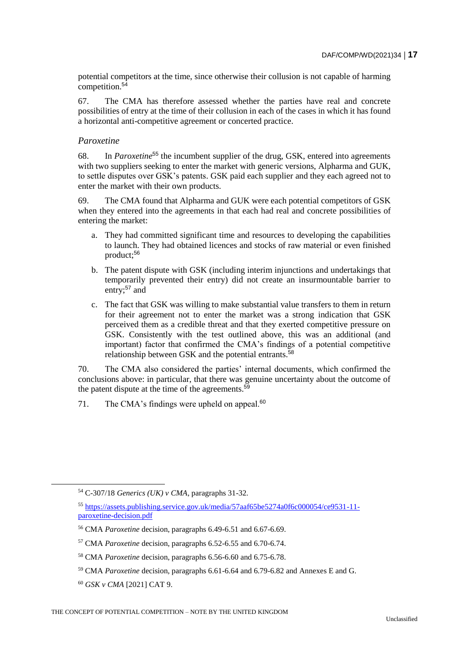potential competitors at the time, since otherwise their collusion is not capable of harming competition. $5\overline{4}$ 

67. The CMA has therefore assessed whether the parties have real and concrete possibilities of entry at the time of their collusion in each of the cases in which it has found a horizontal anti-competitive agreement or concerted practice.

### *Paroxetine*

68. In *Paroxetine*<sup>55</sup> the incumbent supplier of the drug, GSK, entered into agreements with two suppliers seeking to enter the market with generic versions, Alpharma and GUK, to settle disputes over GSK's patents. GSK paid each supplier and they each agreed not to enter the market with their own products.

69. The CMA found that Alpharma and GUK were each potential competitors of GSK when they entered into the agreements in that each had real and concrete possibilities of entering the market:

- a. They had committed significant time and resources to developing the capabilities to launch. They had obtained licences and stocks of raw material or even finished product;<sup>56</sup>
- b. The patent dispute with GSK (including interim injunctions and undertakings that temporarily prevented their entry) did not create an insurmountable barrier to entry: $57$  and
- c. The fact that GSK was willing to make substantial value transfers to them in return for their agreement not to enter the market was a strong indication that GSK perceived them as a credible threat and that they exerted competitive pressure on GSK. Consistently with the test outlined above, this was an additional (and important) factor that confirmed the CMA's findings of a potential competitive relationship between GSK and the potential entrants.<sup>58</sup>

70. The CMA also considered the parties' internal documents, which confirmed the conclusions above: in particular, that there was genuine uncertainty about the outcome of the patent dispute at the time of the agreements.<sup>59</sup>

71. The CMA's findings were upheld on appeal. $60$ 

<sup>54</sup> C-307/18 *Generics (UK) v CMA*, paragraphs 31-32.

<sup>55</sup> [https://assets.publishing.service.gov.uk/media/57aaf65be5274a0f6c000054/ce9531-11](https://assets.publishing.service.gov.uk/media/57aaf65be5274a0f6c000054/ce9531-11-paroxetine-decision.pdf) [paroxetine-decision.pdf](https://assets.publishing.service.gov.uk/media/57aaf65be5274a0f6c000054/ce9531-11-paroxetine-decision.pdf)

<sup>56</sup> CMA *Paroxetine* decision, paragraphs 6.49-6.51 and 6.67-6.69.

<sup>57</sup> CMA *Paroxetine* decision, paragraphs 6.52-6.55 and 6.70-6.74.

<sup>58</sup> CMA *Paroxetine* decision, paragraphs 6.56-6.60 and 6.75-6.78.

<sup>59</sup> CMA *Paroxetine* decision, paragraphs 6.61-6.64 and 6.79-6.82 and Annexes E and G.

<sup>60</sup> *GSK v CMA* [2021] CAT 9.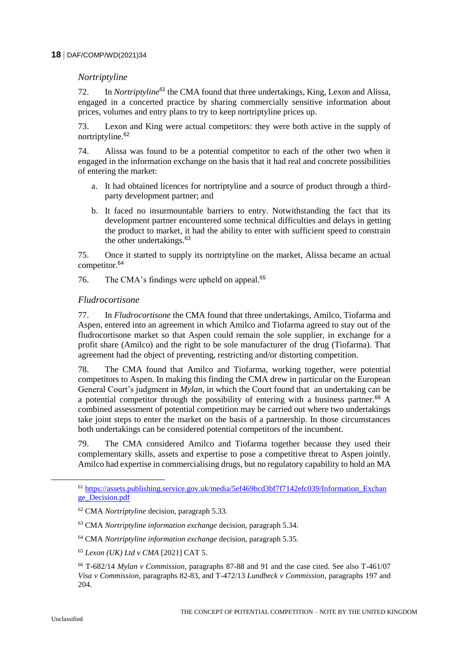# *Nortriptyline*

72. In *Nortriptyline<sup>61</sup>* the CMA found that three undertakings, King, Lexon and Alissa, engaged in a concerted practice by sharing commercially sensitive information about prices, volumes and entry plans to try to keep nortriptyline prices up.

73. Lexon and King were actual competitors: they were both active in the supply of nortriptyline.<sup>62</sup>

74. Alissa was found to be a potential competitor to each of the other two when it engaged in the information exchange on the basis that it had real and concrete possibilities of entering the market:

- a. It had obtained licences for nortriptyline and a source of product through a thirdparty development partner; and
- b. It faced no insurmountable barriers to entry. Notwithstanding the fact that its development partner encountered some technical difficulties and delays in getting the product to market, it had the ability to enter with sufficient speed to constrain the other undertakings.<sup>63</sup>

75. Once it started to supply its nortriptyline on the market, Alissa became an actual competitor.<sup>64</sup>

76. The CMA's findings were upheld on appeal.<sup>65</sup>

# *Fludrocortisone*

77. In *Fludrocortisone* the CMA found that three undertakings, Amilco, Tiofarma and Aspen, entered into an agreement in which Amilco and Tiofarma agreed to stay out of the fludrocortisone market so that Aspen could remain the sole supplier, in exchange for a profit share (Amilco) and the right to be sole manufacturer of the drug (Tiofarma). That agreement had the object of preventing, restricting and/or distorting competition.

78. The CMA found that Amilco and Tiofarma, working together, were potential competitors to Aspen. In making this finding the CMA drew in particular on the European General Court's judgment in *Mylan*, in which the Court found that an undertaking can be a potential competitor through the possibility of entering with a business partner.<sup>66</sup> A combined assessment of potential competition may be carried out where two undertakings take joint steps to enter the market on the basis of a partnership. In those circumstances both undertakings can be considered potential competitors of the incumbent.

79. The CMA considered Amilco and Tiofarma together because they used their complementary skills, assets and expertise to pose a competitive threat to Aspen jointly. Amilco had expertise in commercialising drugs, but no regulatory capability to hold an MA

<sup>61</sup> [https://assets.publishing.service.gov.uk/media/5ef469bcd3bf7f7142efc039/Information\\_Exchan](https://assets.publishing.service.gov.uk/media/5ef469bcd3bf7f7142efc039/Information_Exchange_Decision.pdf) [ge\\_Decision.pdf](https://assets.publishing.service.gov.uk/media/5ef469bcd3bf7f7142efc039/Information_Exchange_Decision.pdf)

<sup>62</sup> CMA *Nortriptyline* decision, paragraph 5.33.

<sup>63</sup> CMA *Nortriptyline information exchange* decision, paragraph 5.34.

<sup>64</sup> CMA *Nortriptyline information exchange* decision, paragraph 5.35.

<sup>65</sup> *Lexon (UK) Ltd v CMA* [2021] CAT 5.

<sup>66</sup> T-682/14 *Mylan v Commission*, paragraphs 87-88 and 91 and the case cited. See also T-461/07 *Visa v Commission*, paragraphs 82-83, and T-472/13 *Lundbeck v Commission*, paragraphs 197 and 204.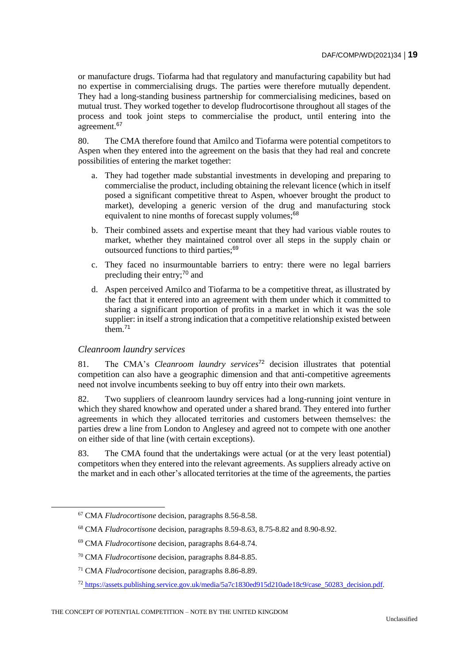or manufacture drugs. Tiofarma had that regulatory and manufacturing capability but had no expertise in commercialising drugs. The parties were therefore mutually dependent. They had a long-standing business partnership for commercialising medicines, based on mutual trust. They worked together to develop fludrocortisone throughout all stages of the process and took joint steps to commercialise the product, until entering into the agreement.<sup>67</sup>

80. The CMA therefore found that Amilco and Tiofarma were potential competitors to Aspen when they entered into the agreement on the basis that they had real and concrete possibilities of entering the market together:

- a. They had together made substantial investments in developing and preparing to commercialise the product, including obtaining the relevant licence (which in itself posed a significant competitive threat to Aspen, whoever brought the product to market), developing a generic version of the drug and manufacturing stock equivalent to nine months of forecast supply volumes;<sup>68</sup>
- b. Their combined assets and expertise meant that they had various viable routes to market, whether they maintained control over all steps in the supply chain or outsourced functions to third parties;<sup>69</sup>
- c. They faced no insurmountable barriers to entry: there were no legal barriers precluding their entry;<sup>70</sup> and
- d. Aspen perceived Amilco and Tiofarma to be a competitive threat, as illustrated by the fact that it entered into an agreement with them under which it committed to sharing a significant proportion of profits in a market in which it was the sole supplier: in itself a strong indication that a competitive relationship existed between them.<sup>71</sup>

#### *Cleanroom laundry services*

 $\overline{a}$ 

81. The CMA's *Cleanroom laundry services*<sup>72</sup> decision illustrates that potential competition can also have a geographic dimension and that anti-competitive agreements need not involve incumbents seeking to buy off entry into their own markets.

82. Two suppliers of cleanroom laundry services had a long-running joint venture in which they shared knowhow and operated under a shared brand. They entered into further agreements in which they allocated territories and customers between themselves: the parties drew a line from London to Anglesey and agreed not to compete with one another on either side of that line (with certain exceptions).

83. The CMA found that the undertakings were actual (or at the very least potential) competitors when they entered into the relevant agreements. As suppliers already active on the market and in each other's allocated territories at the time of the agreements, the parties

<sup>67</sup> CMA *Fludrocortisone* decision, paragraphs 8.56-8.58.

<sup>68</sup> CMA *Fludrocortisone* decision, paragraphs 8.59-8.63, 8.75-8.82 and 8.90-8.92.

<sup>69</sup> CMA *Fludrocortisone* decision, paragraphs 8.64-8.74.

<sup>70</sup> CMA *Fludrocortisone* decision, paragraphs 8.84-8.85.

<sup>71</sup> CMA *Fludrocortisone* decision, paragraphs 8.86-8.89.

<sup>72</sup> [https://assets.publishing.service.gov.uk/media/5a7c1830ed915d210ade18c9/case\\_50283\\_decision.pdf.](https://assets.publishing.service.gov.uk/media/5a7c1830ed915d210ade18c9/case_50283_decision.pdf83_decision.pdf%20(publishing.service.gov.uk))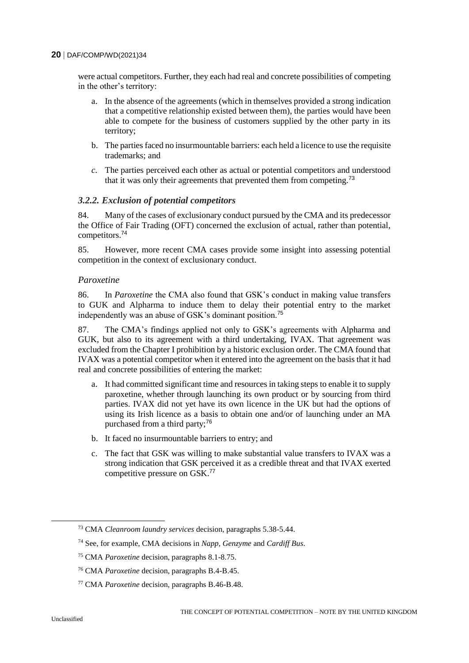were actual competitors. Further, they each had real and concrete possibilities of competing in the other's territory:

- a. In the absence of the agreements (which in themselves provided a strong indication that a competitive relationship existed between them), the parties would have been able to compete for the business of customers supplied by the other party in its territory;
- b. The parties faced no insurmountable barriers: each held a licence to use the requisite trademarks; and
- *c.* The parties perceived each other as actual or potential competitors and understood that it was only their agreements that prevented them from competing.<sup>73</sup>

# *3.2.2. Exclusion of potential competitors*

84. Many of the cases of exclusionary conduct pursued by the CMA and its predecessor the Office of Fair Trading (OFT) concerned the exclusion of actual, rather than potential, competitors.<sup>74</sup>

85. However, more recent CMA cases provide some insight into assessing potential competition in the context of exclusionary conduct.

#### *Paroxetine*

86. In *Paroxetine* the CMA also found that GSK's conduct in making value transfers to GUK and Alpharma to induce them to delay their potential entry to the market independently was an abuse of GSK's dominant position.<sup>75</sup>

87. The CMA's findings applied not only to GSK's agreements with Alpharma and GUK, but also to its agreement with a third undertaking, IVAX. That agreement was excluded from the Chapter I prohibition by a historic exclusion order. The CMA found that IVAX was a potential competitor when it entered into the agreement on the basis that it had real and concrete possibilities of entering the market:

- a. It had committed significant time and resources in taking steps to enable it to supply paroxetine, whether through launching its own product or by sourcing from third parties. IVAX did not yet have its own licence in the UK but had the options of using its Irish licence as a basis to obtain one and/or of launching under an MA purchased from a third party;<sup>76</sup>
- b. It faced no insurmountable barriers to entry; and
- c. The fact that GSK was willing to make substantial value transfers to IVAX was a strong indication that GSK perceived it as a credible threat and that IVAX exerted competitive pressure on GSK.<sup>77</sup>

<sup>73</sup> CMA *Cleanroom laundry services* decision, paragraphs 5.38-5.44.

<sup>74</sup> See, for example, CMA decisions in *Napp*, *Genzyme* and *Cardiff Bus*.

<sup>75</sup> CMA *Paroxetine* decision, paragraphs 8.1-8.75.

<sup>76</sup> CMA *Paroxetine* decision, paragraphs B.4-B.45.

<sup>77</sup> CMA *Paroxetine* decision, paragraphs B.46-B.48.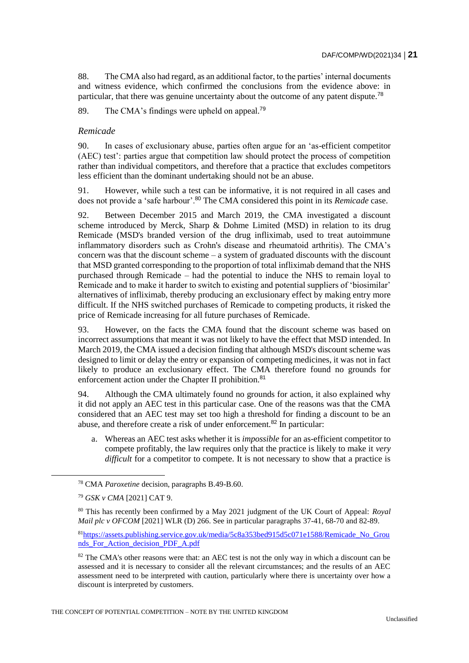88. The CMA also had regard, as an additional factor, to the parties' internal documents and witness evidence, which confirmed the conclusions from the evidence above: in particular, that there was genuine uncertainty about the outcome of any patent dispute.<sup>78</sup>

89. The CMA's findings were upheld on appeal.<sup>79</sup>

# *Remicade*

90. In cases of exclusionary abuse, parties often argue for an 'as-efficient competitor (AEC) test': parties argue that competition law should protect the process of competition rather than individual competitors, and therefore that a practice that excludes competitors less efficient than the dominant undertaking should not be an abuse.

91. However, while such a test can be informative, it is not required in all cases and does not provide a 'safe harbour'.<sup>80</sup> The CMA considered this point in its *Remicade* case.

92. Between December 2015 and March 2019, the CMA investigated a discount scheme introduced by Merck, Sharp & Dohme Limited (MSD) in relation to its drug Remicade (MSD's branded version of the drug infliximab, used to treat autoimmune inflammatory disorders such as Crohn's disease and rheumatoid arthritis). The CMA's concern was that the discount scheme – a system of graduated discounts with the discount that MSD granted corresponding to the proportion of total infliximab demand that the NHS purchased through Remicade – had the potential to induce the NHS to remain loyal to Remicade and to make it harder to switch to existing and potential suppliers of 'biosimilar' alternatives of infliximab, thereby producing an exclusionary effect by making entry more difficult. If the NHS switched purchases of Remicade to competing products, it risked the price of Remicade increasing for all future purchases of Remicade.

93. However, on the facts the CMA found that the discount scheme was based on incorrect assumptions that meant it was not likely to have the effect that MSD intended. In March 2019, the CMA issued a decision finding that although MSD's discount scheme was designed to limit or delay the entry or expansion of competing medicines, it was not in fact likely to produce an exclusionary effect. The CMA therefore found no grounds for enforcement action under the Chapter II prohibition.<sup>81</sup>

94. Although the CMA ultimately found no grounds for action, it also explained why it did not apply an AEC test in this particular case. One of the reasons was that the CMA considered that an AEC test may set too high a threshold for finding a discount to be an abuse, and therefore create a risk of under enforcement.<sup>82</sup> In particular:

a. Whereas an AEC test asks whether it is *impossible* for an as-efficient competitor to compete profitably, the law requires only that the practice is likely to make it *very difficult* for a competitor to compete. It is not necessary to show that a practice is

<sup>78</sup> CMA *Paroxetine* decision, paragraphs B.49-B.60.

<sup>79</sup> *GSK v CMA* [2021] CAT 9.

<sup>80</sup> This has recently been confirmed by a May 2021 judgment of the UK Court of Appeal: *Royal Mail plc v OFCOM* [2021] WLR (D) 266. See in particular paragraphs 37-41, 68-70 and 82-89.

<sup>81</sup>https://assets.publishing.service.gov.uk/media/5c8a353bed915d5c071e1588/Remicade\_No\_Grou nds\_For\_Action\_decision\_PDF\_A.pdf

<sup>&</sup>lt;sup>82</sup> The CMA's other reasons were that: an AEC test is not the only way in which a discount can be assessed and it is necessary to consider all the relevant circumstances; and the results of an AEC assessment need to be interpreted with caution, particularly where there is uncertainty over how a discount is interpreted by customers.